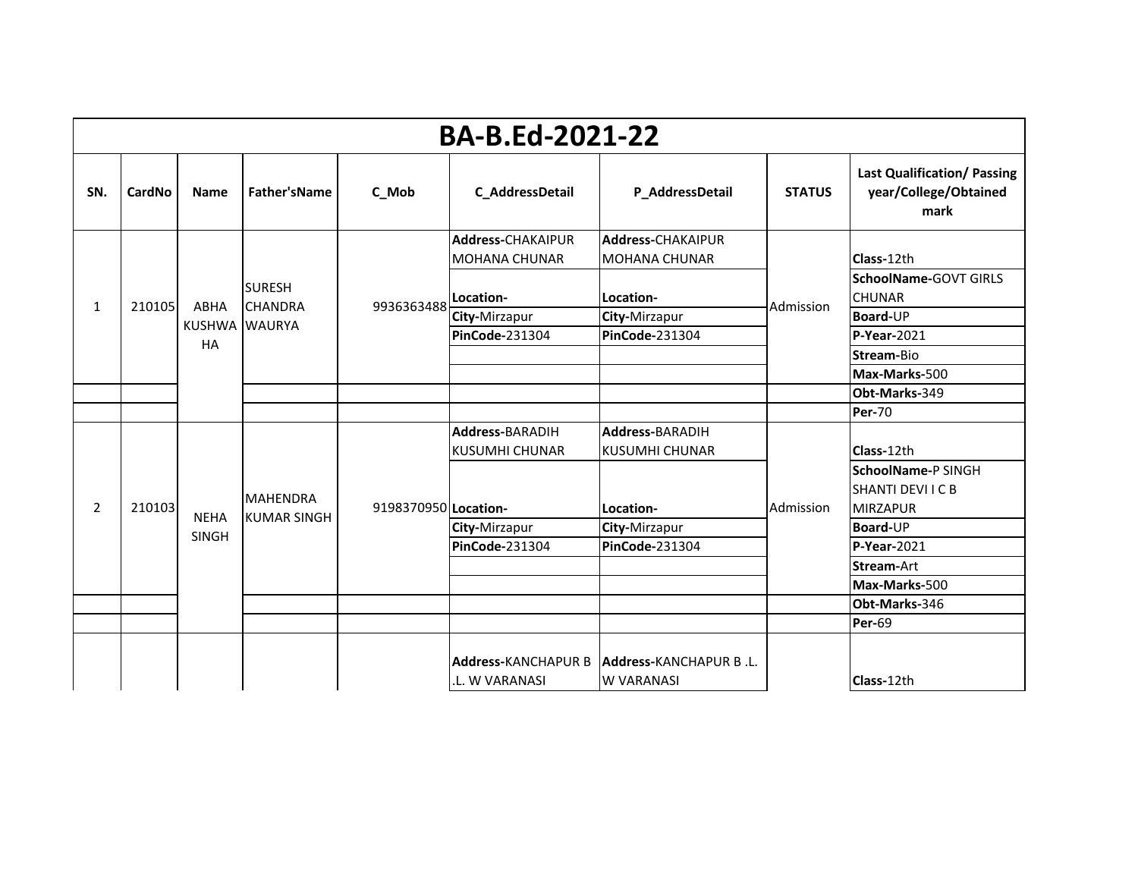|                | <b>BA-B.Ed-2021-22</b> |              |                                 |                      |                            |                          |               |                                                                                                          |  |  |  |
|----------------|------------------------|--------------|---------------------------------|----------------------|----------------------------|--------------------------|---------------|----------------------------------------------------------------------------------------------------------|--|--|--|
| SN.            | CardNo                 | <b>Name</b>  | Father'sName                    | C_Mob                | C_AddressDetail            | P_AddressDetail          | <b>STATUS</b> | <b>Last Qualification/ Passing</b><br>year/College/Obtained<br>mark                                      |  |  |  |
|                |                        |              |                                 |                      | <b>Address-CHAKAIPUR</b>   | <b>Address-CHAKAIPUR</b> |               |                                                                                                          |  |  |  |
|                |                        |              |                                 |                      | <b>MOHANA CHUNAR</b>       | <b>MOHANA CHUNAR</b>     |               | Class-12th                                                                                               |  |  |  |
|                |                        |              | <b>SURESH</b>                   |                      | Location-                  | Location-                |               | SchoolName-GOVT GIRLS<br><b>CHUNAR</b>                                                                   |  |  |  |
| 1              | 210105                 | ABHA         | <b>CHANDRA</b><br>KUSHWA WAURYA | 9936363488           | City-Mirzapur              | City-Mirzapur            | Admission     | Board-UP                                                                                                 |  |  |  |
|                |                        | <b>HA</b>    |                                 |                      | PinCode-231304             | PinCode-231304           |               | P-Year-2021                                                                                              |  |  |  |
|                |                        |              |                                 |                      |                            |                          |               | Stream-Bio<br>Max-Marks-500<br>Obt-Marks-349<br><b>Per-70</b><br>Class-12th<br><b>SchoolName-P SINGH</b> |  |  |  |
|                |                        |              |                                 |                      |                            |                          |               |                                                                                                          |  |  |  |
|                |                        |              |                                 |                      |                            |                          |               |                                                                                                          |  |  |  |
|                |                        |              |                                 |                      |                            |                          |               |                                                                                                          |  |  |  |
|                |                        |              |                                 |                      | <b>Address-BARADIH</b>     | Address-BARADIH          |               |                                                                                                          |  |  |  |
|                |                        |              |                                 |                      | <b>KUSUMHI CHUNAR</b>      | <b>KUSUMHI CHUNAR</b>    |               |                                                                                                          |  |  |  |
|                |                        |              |                                 |                      |                            |                          |               |                                                                                                          |  |  |  |
|                |                        |              | <b>MAHENDRA</b>                 |                      |                            |                          |               |                                                                                                          |  |  |  |
| $\overline{2}$ | 210103                 | <b>NEHA</b>  | <b>KUMAR SINGH</b>              | 9198370950 Location- |                            | Location-                | Admission     |                                                                                                          |  |  |  |
|                |                        | <b>SINGH</b> |                                 |                      | City-Mirzapur              | City-Mirzapur            |               |                                                                                                          |  |  |  |
|                |                        |              |                                 |                      | PinCode-231304             | PinCode-231304           |               | <b>SHANTI DEVI I C B</b><br><b>MIRZAPUR</b><br>Board-UP<br>P-Year-2021                                   |  |  |  |
|                |                        |              |                                 |                      |                            |                          |               | Stream-Art                                                                                               |  |  |  |
|                |                        |              |                                 |                      |                            |                          |               | Max-Marks-500                                                                                            |  |  |  |
|                |                        |              |                                 |                      |                            |                          |               | Obt-Marks-346                                                                                            |  |  |  |
|                |                        |              |                                 |                      |                            |                          |               | Per-69                                                                                                   |  |  |  |
|                |                        |              |                                 |                      | <b>Address-KANCHAPUR B</b> | Address-KANCHAPUR B.L.   |               |                                                                                                          |  |  |  |
|                |                        |              |                                 |                      | .L. W VARANASI             | <b>W VARANASI</b>        |               | Class-12th                                                                                               |  |  |  |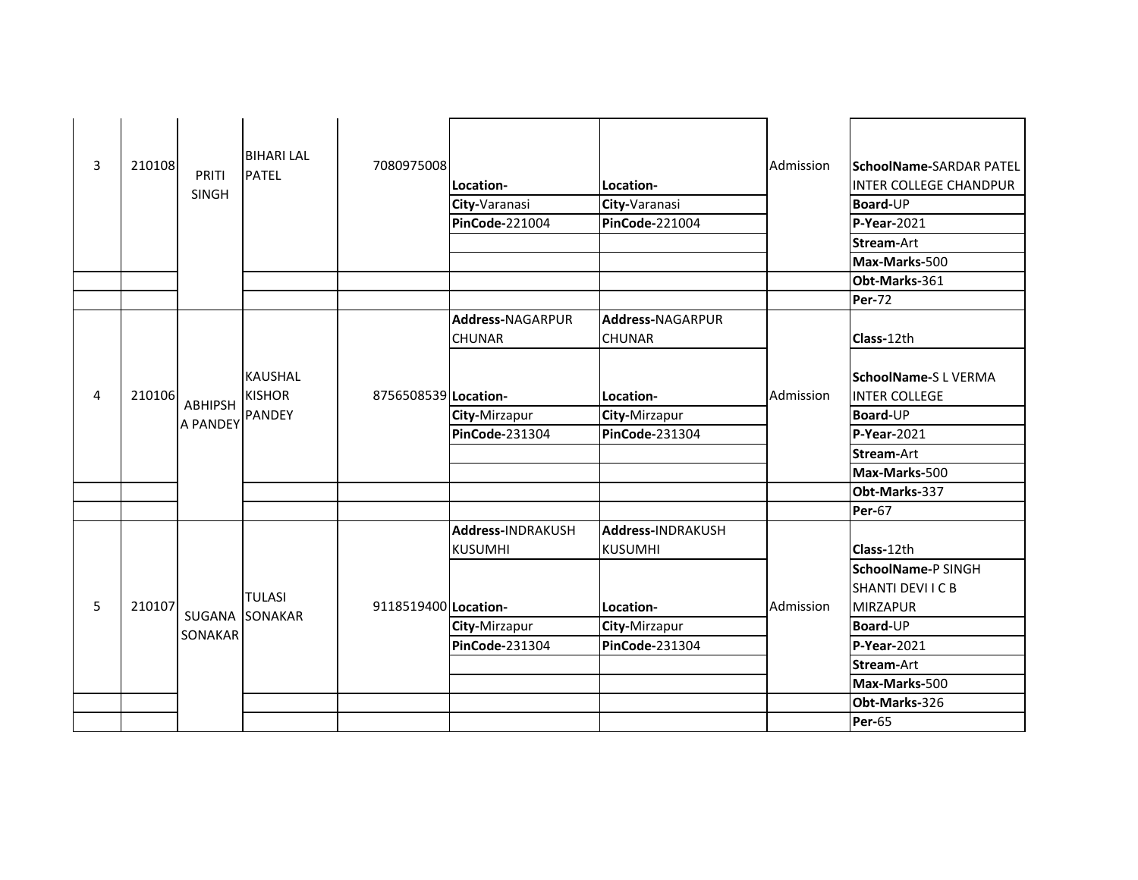|   |        |                 | <b>BIHARI LAL</b>               |                      |                         |                       |           |                                                    |
|---|--------|-----------------|---------------------------------|----------------------|-------------------------|-----------------------|-----------|----------------------------------------------------|
| 3 | 210108 | PRITI           | <b>PATEL</b>                    | 7080975008           |                         |                       | Admission | <b>SchoolName-SARDAR PATEL</b>                     |
|   |        | <b>SINGH</b>    |                                 |                      | Location-               | Location-             |           | <b>INTER COLLEGE CHANDPUR</b>                      |
|   |        |                 |                                 |                      | City-Varanasi           | City-Varanasi         |           | Board-UP                                           |
|   |        |                 |                                 |                      | PinCode-221004          | PinCode-221004        |           | P-Year-2021                                        |
|   |        |                 |                                 |                      |                         |                       |           | <b>Stream-Art</b>                                  |
|   |        |                 |                                 |                      |                         |                       |           | Max-Marks-500                                      |
|   |        |                 |                                 |                      |                         |                       |           | Obt-Marks-361                                      |
|   |        |                 |                                 |                      |                         |                       |           | <b>Per-72</b>                                      |
|   |        |                 |                                 |                      | <b>Address-NAGARPUR</b> | Address-NAGARPUR      |           |                                                    |
|   |        |                 |                                 |                      | <b>CHUNAR</b>           | <b>CHUNAR</b>         |           | Class-12th                                         |
| 4 | 210106 | <b>ABHIPSH</b>  | <b>KAUSHAL</b><br><b>KISHOR</b> | 8756508539 Location- |                         | Location-             | Admission | <b>SchoolName-SL VERMA</b><br><b>INTER COLLEGE</b> |
|   |        | <b>A PANDEY</b> | <b>PANDEY</b>                   |                      | City-Mirzapur           | City-Mirzapur         |           | <b>Board-UP</b>                                    |
|   |        |                 |                                 |                      | <b>PinCode-231304</b>   | <b>PinCode-231304</b> |           | $P-Year-2021$                                      |
|   |        |                 |                                 |                      |                         |                       |           | Stream-Art                                         |
|   |        |                 |                                 |                      |                         |                       |           | Max-Marks-500                                      |
|   |        |                 |                                 |                      |                         |                       |           | Obt-Marks-337                                      |
|   |        |                 |                                 |                      |                         |                       |           | <b>Per-67</b>                                      |
|   |        |                 |                                 |                      | Address-INDRAKUSH       | Address-INDRAKUSH     |           |                                                    |
|   |        |                 |                                 |                      | <b>KUSUMHI</b>          | <b>KUSUMHI</b>        |           | Class-12th                                         |
|   |        |                 |                                 |                      |                         |                       |           | SchoolName-P SINGH                                 |
|   |        |                 |                                 |                      |                         |                       |           | SHANTI DEVI I C B                                  |
| 5 | 210107 |                 | <b>TULASI</b><br>SUGANA SONAKAR | 9118519400 Location- |                         | Location-             | Admission | <b>MIRZAPUR</b>                                    |
|   |        |                 |                                 |                      | City-Mirzapur           | City-Mirzapur         |           | Board-UP                                           |
|   |        | SONAKAR         |                                 |                      | <b>PinCode-231304</b>   | <b>PinCode-231304</b> |           | P-Year-2021                                        |
|   |        |                 |                                 |                      |                         |                       |           | <b>Stream-Art</b>                                  |
|   |        |                 |                                 |                      |                         |                       |           | Max-Marks-500                                      |
|   |        |                 |                                 |                      |                         |                       |           | Obt-Marks-326                                      |
|   |        |                 |                                 |                      |                         |                       |           | <b>Per-65</b>                                      |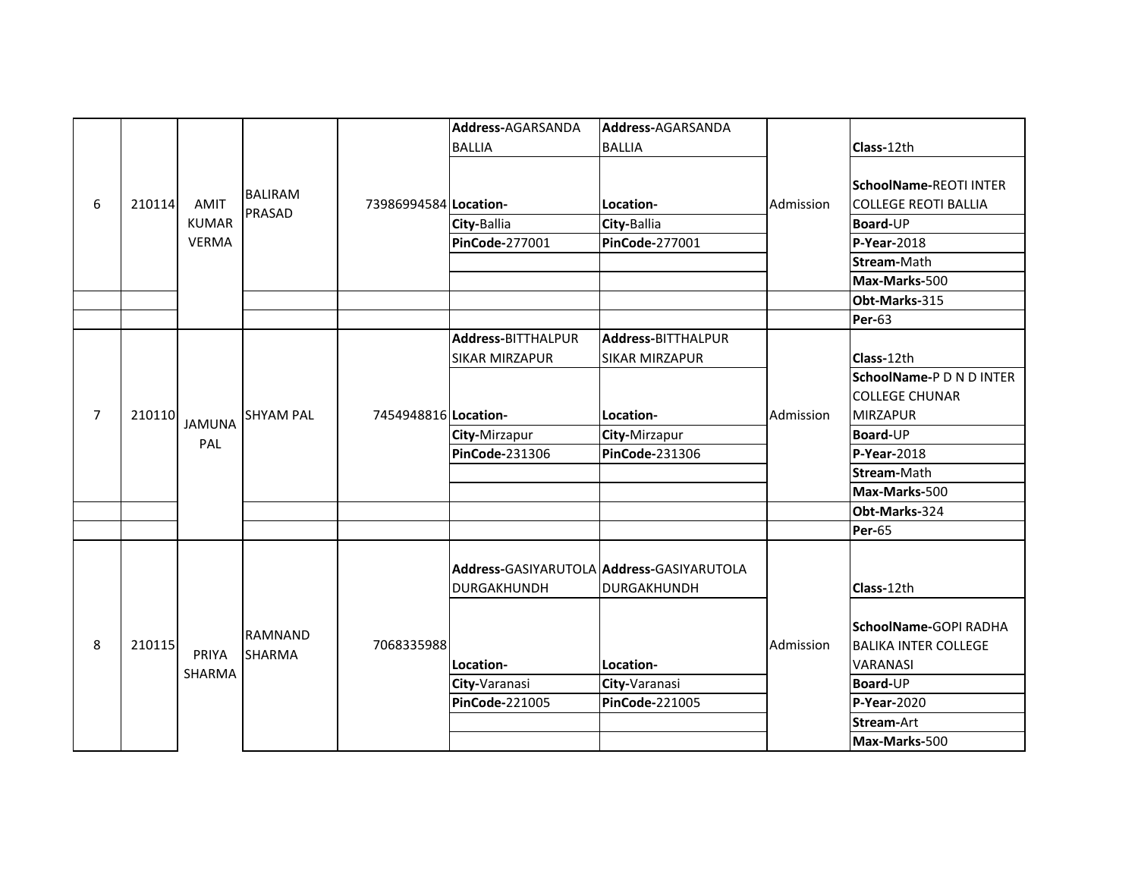|                |        |                                             |                                 |                       | Address-AGARSANDA                           | Address-AGARSANDA                                        |           |                                                                                         |
|----------------|--------|---------------------------------------------|---------------------------------|-----------------------|---------------------------------------------|----------------------------------------------------------|-----------|-----------------------------------------------------------------------------------------|
|                |        |                                             |                                 |                       | <b>BALLIA</b>                               | <b>BALLIA</b>                                            |           | Class-12th                                                                              |
| 6              | 210114 | <b>AMIT</b><br><b>KUMAR</b><br><b>VERMA</b> | <b>BALIRAM</b><br>PRASAD        | 73986994584 Location- | City-Ballia<br>PinCode-277001               | Location-<br>City-Ballia<br>PinCode-277001               | Admission | <b>SchoolName-REOTI INTER</b><br><b>COLLEGE REOTI BALLIA</b><br>Board-UP<br>P-Year-2018 |
|                |        |                                             |                                 |                       |                                             |                                                          |           | Stream-Math                                                                             |
|                |        |                                             |                                 |                       |                                             |                                                          |           | Max-Marks-500                                                                           |
|                |        |                                             |                                 |                       |                                             |                                                          |           | Obt-Marks-315                                                                           |
|                |        |                                             |                                 |                       | Address-BITTHALPUR<br><b>SIKAR MIRZAPUR</b> | Address-BITTHALPUR<br><b>SIKAR MIRZAPUR</b>              |           | Per-63<br>Class-12th                                                                    |
| $\overline{7}$ | 210110 | <b>JAMUNA</b>                               | <b>SHYAM PAL</b>                | 7454948816 Location-  |                                             | Location-                                                | Admission | SchoolName-P D N D INTER<br><b>COLLEGE CHUNAR</b><br><b>MIRZAPUR</b>                    |
|                |        | PAL                                         |                                 |                       | City-Mirzapur                               | City-Mirzapur                                            |           | Board-UP                                                                                |
|                |        |                                             |                                 |                       | PinCode-231306                              | PinCode-231306                                           |           | P-Year-2018                                                                             |
|                |        |                                             |                                 |                       |                                             |                                                          |           | Stream-Math                                                                             |
|                |        |                                             |                                 |                       |                                             |                                                          |           | Max-Marks-500<br>Obt-Marks-324<br><b>Per-65</b>                                         |
|                |        |                                             |                                 |                       |                                             |                                                          |           |                                                                                         |
|                |        |                                             |                                 |                       |                                             |                                                          |           |                                                                                         |
|                |        |                                             |                                 |                       | DURGAKHUNDH                                 | Address-GASIYARUTOLA Address-GASIYARUTOLA<br>DURGAKHUNDH |           | Class-12th                                                                              |
| 8              | 210115 | PRIYA<br>SHARMA                             | <b>RAMNAND</b><br><b>SHARMA</b> | 7068335988            | Location-                                   | Location-                                                | Admission | SchoolName-GOPI RADHA<br><b>BALIKA INTER COLLEGE</b><br><b>VARANASI</b>                 |
|                |        |                                             |                                 |                       | City-Varanasi                               | City-Varanasi                                            |           | Board-UP                                                                                |
|                |        |                                             |                                 |                       | <b>PinCode-221005</b>                       | PinCode-221005                                           |           | P-Year-2020                                                                             |
|                |        |                                             |                                 |                       |                                             |                                                          |           | <b>Stream-Art</b>                                                                       |
|                |        |                                             |                                 |                       |                                             |                                                          |           | Max-Marks-500                                                                           |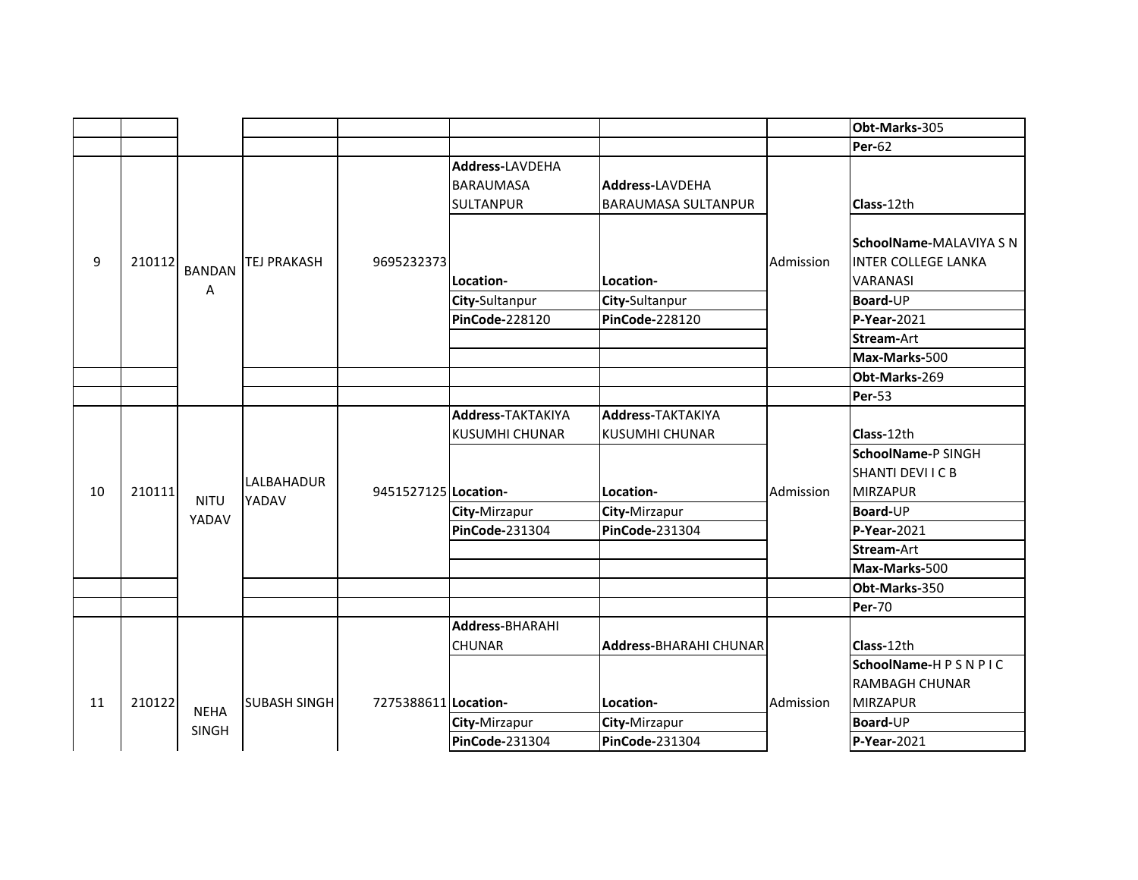|    |        |               |                     |                      |                          |                               |           | Obt-Marks-305              |
|----|--------|---------------|---------------------|----------------------|--------------------------|-------------------------------|-----------|----------------------------|
|    |        |               |                     |                      |                          |                               |           | <b>Per-62</b>              |
|    |        |               |                     |                      | <b>Address-LAVDEHA</b>   |                               |           |                            |
|    |        |               |                     |                      | <b>BARAUMASA</b>         | Address-LAVDEHA               |           |                            |
|    |        |               |                     |                      | <b>SULTANPUR</b>         | <b>BARAUMASA SULTANPUR</b>    |           | Class-12th                 |
|    |        |               |                     |                      |                          |                               |           |                            |
|    |        |               |                     |                      |                          |                               |           | SchoolName-MALAVIYA S N    |
| 9  | 210112 |               | <b>TEJ PRAKASH</b>  | 9695232373           |                          |                               | Admission | <b>INTER COLLEGE LANKA</b> |
|    |        | <b>BANDAN</b> |                     |                      | Location-                | Location-                     |           | <b>VARANASI</b>            |
|    |        | A             |                     |                      | City-Sultanpur           | City-Sultanpur                |           | Board-UP                   |
|    |        |               |                     |                      | <b>PinCode-228120</b>    | PinCode-228120                |           | P-Year-2021                |
|    |        |               |                     |                      |                          |                               |           | Stream-Art                 |
|    |        |               |                     |                      |                          |                               |           | Max-Marks-500              |
|    |        |               |                     |                      |                          |                               |           | Obt-Marks-269              |
|    |        |               |                     |                      |                          |                               |           | <b>Per-53</b>              |
|    |        |               |                     |                      | <b>Address-TAKTAKIYA</b> | <b>Address-TAKTAKIYA</b>      |           |                            |
|    |        |               |                     |                      | <b>KUSUMHI CHUNAR</b>    | <b>KUSUMHI CHUNAR</b>         |           | Class-12th                 |
|    |        |               |                     |                      |                          |                               |           | SchoolName-P SINGH         |
|    |        |               | LALBAHADUR          |                      |                          |                               |           | <b>SHANTI DEVI I C B</b>   |
| 10 | 210111 | <b>NITU</b>   | YADAV               | 9451527125 Location- |                          | Location-                     | Admission | <b>MIRZAPUR</b>            |
|    |        | YADAV         |                     |                      | City-Mirzapur            | City-Mirzapur                 |           | Board-UP                   |
|    |        |               |                     |                      | PinCode-231304           | PinCode-231304                |           | $P-Year-2021$              |
|    |        |               |                     |                      |                          |                               |           | <b>Stream-Art</b>          |
|    |        |               |                     |                      |                          |                               |           | Max-Marks-500              |
|    |        |               |                     |                      |                          |                               |           | Obt-Marks-350              |
|    |        |               |                     |                      |                          |                               |           | <b>Per-70</b>              |
|    |        |               |                     |                      | <b>Address-BHARAHI</b>   |                               |           |                            |
|    |        |               |                     |                      | <b>CHUNAR</b>            | <b>Address-BHARAHI CHUNAR</b> |           | Class-12th                 |
|    |        |               |                     |                      |                          |                               |           | SchoolName-HPSNPIC         |
|    |        |               |                     |                      |                          |                               |           | <b>RAMBAGH CHUNAR</b>      |
| 11 | 210122 | <b>NEHA</b>   | <b>SUBASH SINGH</b> | 7275388611 Location- |                          | Location-                     | Admission | <b>MIRZAPUR</b>            |
|    |        | <b>SINGH</b>  |                     |                      | City-Mirzapur            | City-Mirzapur                 |           | Board-UP                   |
|    |        |               |                     |                      | PinCode-231304           | PinCode-231304                |           | P-Year-2021                |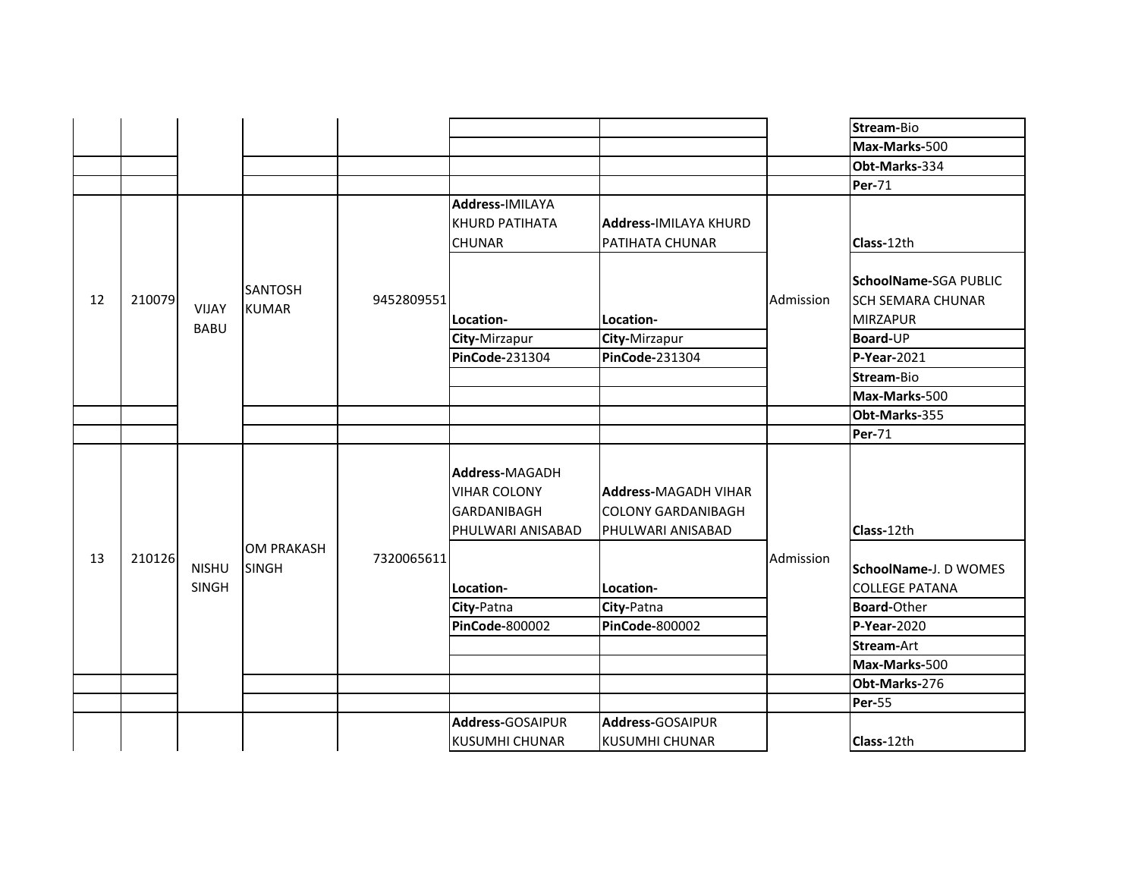|    |        |                              |                                   |            |                                                                           |                                                                               |           | Stream-Bio                                                                              |
|----|--------|------------------------------|-----------------------------------|------------|---------------------------------------------------------------------------|-------------------------------------------------------------------------------|-----------|-----------------------------------------------------------------------------------------|
|    |        |                              |                                   |            |                                                                           |                                                                               |           | Max-Marks-500                                                                           |
|    |        |                              |                                   |            |                                                                           |                                                                               |           | Obt-Marks-334                                                                           |
|    |        |                              |                                   |            |                                                                           |                                                                               |           | <b>Per-71</b>                                                                           |
|    |        |                              |                                   |            | <b>Address-IMILAYA</b><br><b>KHURD PATIHATA</b><br><b>CHUNAR</b>          | <b>Address-IMILAYA KHURD</b><br>PATIHATA CHUNAR                               |           | Class-12th                                                                              |
| 12 | 210079 | <b>VIJAY</b><br><b>BABU</b>  | <b>SANTOSH</b><br><b>KUMAR</b>    | 9452809551 | Location-<br>City-Mirzapur                                                | Location-<br>City-Mirzapur                                                    | Admission | <b>SchoolName-SGA PUBLIC</b><br><b>SCH SEMARA CHUNAR</b><br><b>MIRZAPUR</b><br>Board-UP |
|    |        |                              |                                   |            | PinCode-231304                                                            | PinCode-231304                                                                |           | P-Year-2021                                                                             |
|    |        |                              |                                   |            |                                                                           |                                                                               |           | Stream-Bio                                                                              |
|    |        |                              |                                   |            |                                                                           |                                                                               |           | Max-Marks-500                                                                           |
|    |        |                              |                                   |            |                                                                           |                                                                               |           | Obt-Marks-355                                                                           |
|    |        |                              |                                   |            |                                                                           |                                                                               |           | <b>Per-71</b>                                                                           |
|    |        |                              |                                   |            | Address-MAGADH<br><b>VIHAR COLONY</b><br>GARDANIBAGH<br>PHULWARI ANISABAD | <b>Address-MAGADH VIHAR</b><br><b>COLONY GARDANIBAGH</b><br>PHULWARI ANISABAD |           | Class-12th                                                                              |
| 13 | 210126 | <b>NISHU</b><br><b>SINGH</b> | <b>OM PRAKASH</b><br><b>SINGH</b> | 7320065611 | Location-                                                                 | Location-                                                                     | Admission | <b>SchoolName-J. D WOMES</b><br><b>COLLEGE PATANA</b>                                   |
|    |        |                              |                                   |            | City-Patna                                                                | City-Patna                                                                    |           | <b>Board-Other</b>                                                                      |
|    |        |                              |                                   |            | <b>PinCode-800002</b>                                                     | <b>PinCode-800002</b>                                                         |           | P-Year-2020                                                                             |
|    |        |                              |                                   |            |                                                                           |                                                                               |           | Stream-Art                                                                              |
|    |        |                              |                                   |            |                                                                           |                                                                               |           | Max-Marks-500                                                                           |
|    |        |                              |                                   |            |                                                                           |                                                                               |           | Obt-Marks-276                                                                           |
|    |        |                              |                                   |            |                                                                           |                                                                               |           | <b>Per-55</b>                                                                           |
|    |        |                              |                                   |            | Address-GOSAIPUR                                                          | Address-GOSAIPUR                                                              |           |                                                                                         |
|    |        |                              |                                   |            | <b>KUSUMHI CHUNAR</b>                                                     | KUSUMHI CHUNAR                                                                |           | Class-12th                                                                              |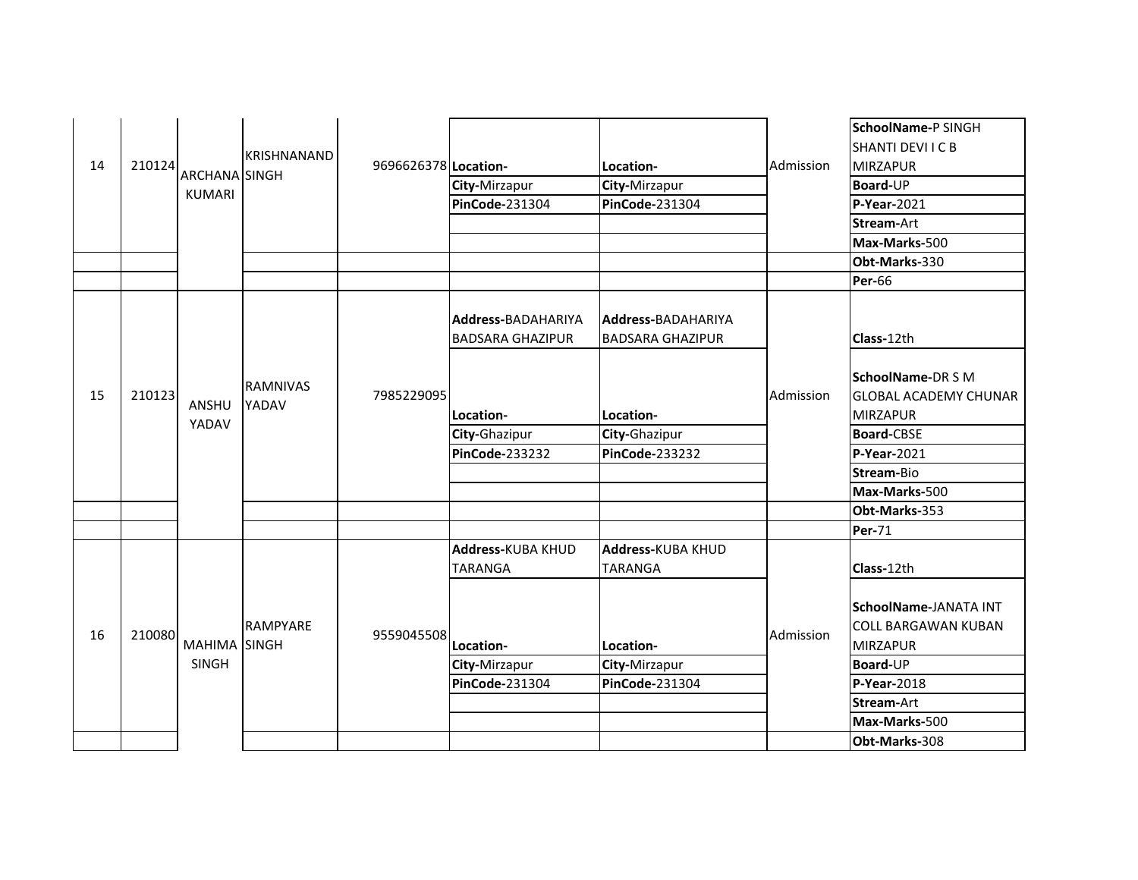| 14 | 210124 | ARCHANA SINGH<br><b>KUMARI</b> | KRISHNANAND                     | 9696626378 Location- | City-Mirzapur<br>PinCode-231304                      | Location-<br>City-Mirzapur<br><b>PinCode-231304</b>  | Admission | SchoolName-P SINGH<br>SHANTI DEVI I C B<br><b>MIRZAPUR</b><br>Board-UP<br>$P-Year-2021$<br>Stream-Art |
|----|--------|--------------------------------|---------------------------------|----------------------|------------------------------------------------------|------------------------------------------------------|-----------|-------------------------------------------------------------------------------------------------------|
|    |        |                                |                                 |                      |                                                      |                                                      |           | Max-Marks-500                                                                                         |
|    |        |                                |                                 |                      |                                                      |                                                      |           | Obt-Marks-330                                                                                         |
|    |        |                                |                                 |                      |                                                      |                                                      |           | <b>Per-66</b>                                                                                         |
|    |        |                                |                                 |                      | <b>Address-BADAHARIYA</b><br><b>BADSARA GHAZIPUR</b> | <b>Address-BADAHARIYA</b><br><b>BADSARA GHAZIPUR</b> |           | Class-12th                                                                                            |
| 15 | 210123 | ANSHU<br>YADAV                 | <b>RAMNIVAS</b><br>YADAV        | 7985229095           | Location-                                            | Location-                                            | Admission | SchoolName-DR S M<br><b>GLOBAL ACADEMY CHUNAR</b><br><b>MIRZAPUR</b>                                  |
|    |        |                                |                                 |                      | City-Ghazipur                                        | City-Ghazipur                                        |           | <b>Board-CBSE</b>                                                                                     |
|    |        |                                |                                 |                      | <b>PinCode-233232</b>                                | <b>PinCode-233232</b>                                |           | $P-Year-2021$                                                                                         |
|    |        |                                |                                 |                      |                                                      |                                                      |           | Stream-Bio                                                                                            |
|    |        |                                |                                 |                      |                                                      |                                                      |           | Max-Marks-500                                                                                         |
|    |        |                                |                                 |                      |                                                      |                                                      |           | Obt-Marks-353                                                                                         |
|    |        |                                |                                 |                      |                                                      |                                                      |           | <b>Per-71</b>                                                                                         |
|    |        |                                |                                 |                      | Address-KUBA KHUD<br><b>TARANGA</b>                  | Address-KUBA KHUD<br><b>TARANGA</b>                  |           | Class-12th                                                                                            |
| 16 | 210080 | <b>MAHIMA</b>                  | <b>RAMPYARE</b><br><b>SINGH</b> | 9559045508           | Location-                                            | Location-                                            | Admission | SchoolName-JANATA INT<br><b>ICOLL BARGAWAN KUBAN</b><br><b>MIRZAPUR</b>                               |
|    |        | <b>SINGH</b>                   |                                 |                      | City-Mirzapur                                        | City-Mirzapur                                        |           | Board-UP                                                                                              |
|    |        |                                |                                 |                      | PinCode-231304                                       | PinCode-231304                                       |           | P-Year-2018                                                                                           |
|    |        |                                |                                 |                      |                                                      |                                                      |           | Stream-Art                                                                                            |
|    |        |                                |                                 |                      |                                                      |                                                      |           | Max-Marks-500                                                                                         |
|    |        |                                |                                 |                      |                                                      |                                                      |           | Obt-Marks-308                                                                                         |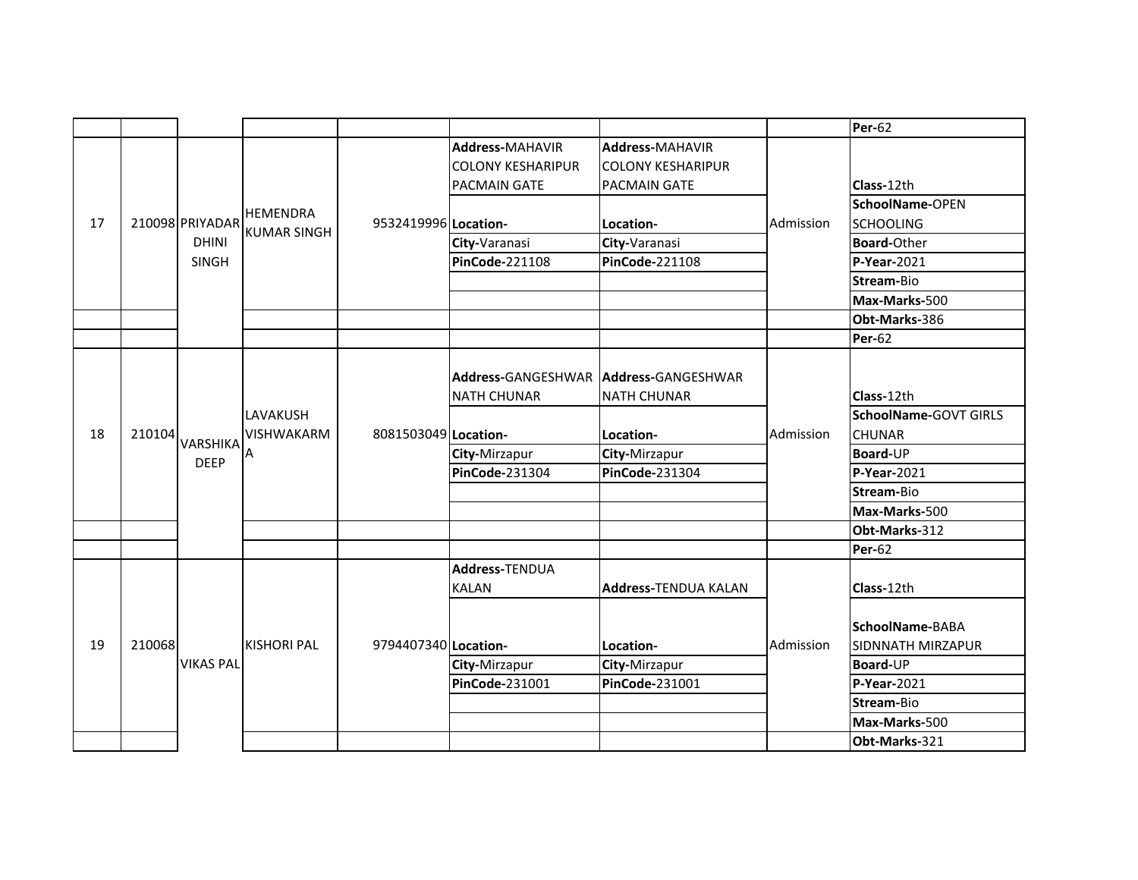|    |        |                  |                    |                      |                                         |                             |                                                                                                                                                                                                                                                                                                                                                                                                                                                                           | <b>Per-62</b> |
|----|--------|------------------|--------------------|----------------------|-----------------------------------------|-----------------------------|---------------------------------------------------------------------------------------------------------------------------------------------------------------------------------------------------------------------------------------------------------------------------------------------------------------------------------------------------------------------------------------------------------------------------------------------------------------------------|---------------|
|    |        |                  |                    |                      | Address-MAHAVIR                         | <b>Address-MAHAVIR</b>      |                                                                                                                                                                                                                                                                                                                                                                                                                                                                           |               |
|    |        |                  |                    |                      | <b>COLONY KESHARIPUR</b>                | <b>COLONY KESHARIPUR</b>    |                                                                                                                                                                                                                                                                                                                                                                                                                                                                           |               |
|    |        |                  |                    |                      | <b>PACMAIN GATE</b>                     | <b>PACMAIN GATE</b>         | Class-12th<br>SchoolName-OPEN<br>Admission<br><b>SCHOOLING</b><br><b>Board-Other</b><br><b>P-Year-2021</b><br>Stream-Bio<br>Max-Marks-500<br>Obt-Marks-386<br><b>Per-62</b><br>Class-12th<br>SchoolName-GOVT GIRLS<br>Admission<br><b>CHUNAR</b><br>Board-UP<br>P-Year-2021<br>Stream-Bio<br>Max-Marks-500<br>Obt-Marks-312<br><b>Per-62</b><br>Class-12th<br>SchoolName-BABA<br>Admission<br>SIDNNATH MIRZAPUR<br>Board-UP<br>P-Year-2021<br>Stream-Bio<br>Max-Marks-500 |               |
|    |        |                  | <b>HEMENDRA</b>    |                      |                                         |                             |                                                                                                                                                                                                                                                                                                                                                                                                                                                                           |               |
| 17 |        | 210098 PRIYADAR  | <b>KUMAR SINGH</b> | 9532419996 Location- |                                         | Location-                   |                                                                                                                                                                                                                                                                                                                                                                                                                                                                           |               |
|    |        | <b>DHINI</b>     |                    |                      | City-Varanasi                           | City-Varanasi               |                                                                                                                                                                                                                                                                                                                                                                                                                                                                           |               |
|    |        | SINGH            |                    |                      | <b>PinCode-221108</b>                   | <b>PinCode-221108</b>       |                                                                                                                                                                                                                                                                                                                                                                                                                                                                           |               |
|    |        |                  |                    |                      |                                         |                             |                                                                                                                                                                                                                                                                                                                                                                                                                                                                           |               |
|    |        |                  |                    |                      |                                         |                             |                                                                                                                                                                                                                                                                                                                                                                                                                                                                           |               |
|    |        |                  |                    |                      |                                         |                             |                                                                                                                                                                                                                                                                                                                                                                                                                                                                           |               |
|    |        |                  |                    |                      |                                         |                             |                                                                                                                                                                                                                                                                                                                                                                                                                                                                           |               |
|    |        |                  |                    |                      | Address-GANGESHWAR   Address-GANGESHWAR |                             |                                                                                                                                                                                                                                                                                                                                                                                                                                                                           |               |
|    |        |                  |                    |                      | <b>NATH CHUNAR</b>                      | <b>NATH CHUNAR</b>          |                                                                                                                                                                                                                                                                                                                                                                                                                                                                           |               |
|    |        |                  | LAVAKUSH           |                      |                                         |                             |                                                                                                                                                                                                                                                                                                                                                                                                                                                                           |               |
| 18 | 210104 | <b>VARSHIKA</b>  | <b>VISHWAKARM</b>  | 8081503049 Location- |                                         | Location-                   |                                                                                                                                                                                                                                                                                                                                                                                                                                                                           |               |
|    |        | <b>DEEP</b>      | A                  |                      | City-Mirzapur                           | City-Mirzapur               |                                                                                                                                                                                                                                                                                                                                                                                                                                                                           |               |
|    |        |                  |                    |                      | <b>PinCode-231304</b>                   | PinCode-231304              |                                                                                                                                                                                                                                                                                                                                                                                                                                                                           |               |
|    |        |                  |                    |                      |                                         |                             |                                                                                                                                                                                                                                                                                                                                                                                                                                                                           |               |
|    |        |                  |                    |                      |                                         |                             |                                                                                                                                                                                                                                                                                                                                                                                                                                                                           |               |
|    |        |                  |                    |                      |                                         |                             |                                                                                                                                                                                                                                                                                                                                                                                                                                                                           |               |
|    |        |                  |                    |                      |                                         |                             |                                                                                                                                                                                                                                                                                                                                                                                                                                                                           |               |
|    |        |                  |                    |                      | <b>Address-TENDUA</b>                   |                             |                                                                                                                                                                                                                                                                                                                                                                                                                                                                           |               |
|    |        |                  |                    |                      | <b>KALAN</b>                            | <b>Address-TENDUA KALAN</b> |                                                                                                                                                                                                                                                                                                                                                                                                                                                                           |               |
|    |        |                  |                    |                      |                                         |                             |                                                                                                                                                                                                                                                                                                                                                                                                                                                                           |               |
|    |        |                  |                    |                      |                                         |                             |                                                                                                                                                                                                                                                                                                                                                                                                                                                                           |               |
| 19 | 210068 |                  | <b>KISHORI PAL</b> | 9794407340 Location- |                                         | Location-                   |                                                                                                                                                                                                                                                                                                                                                                                                                                                                           |               |
|    |        | <b>VIKAS PAL</b> |                    |                      | City-Mirzapur                           | City-Mirzapur               |                                                                                                                                                                                                                                                                                                                                                                                                                                                                           |               |
|    |        |                  |                    |                      | PinCode-231001                          | PinCode-231001              |                                                                                                                                                                                                                                                                                                                                                                                                                                                                           |               |
|    |        |                  |                    |                      |                                         |                             |                                                                                                                                                                                                                                                                                                                                                                                                                                                                           |               |
|    |        |                  |                    |                      |                                         |                             |                                                                                                                                                                                                                                                                                                                                                                                                                                                                           |               |
|    |        |                  |                    |                      |                                         |                             |                                                                                                                                                                                                                                                                                                                                                                                                                                                                           | Obt-Marks-321 |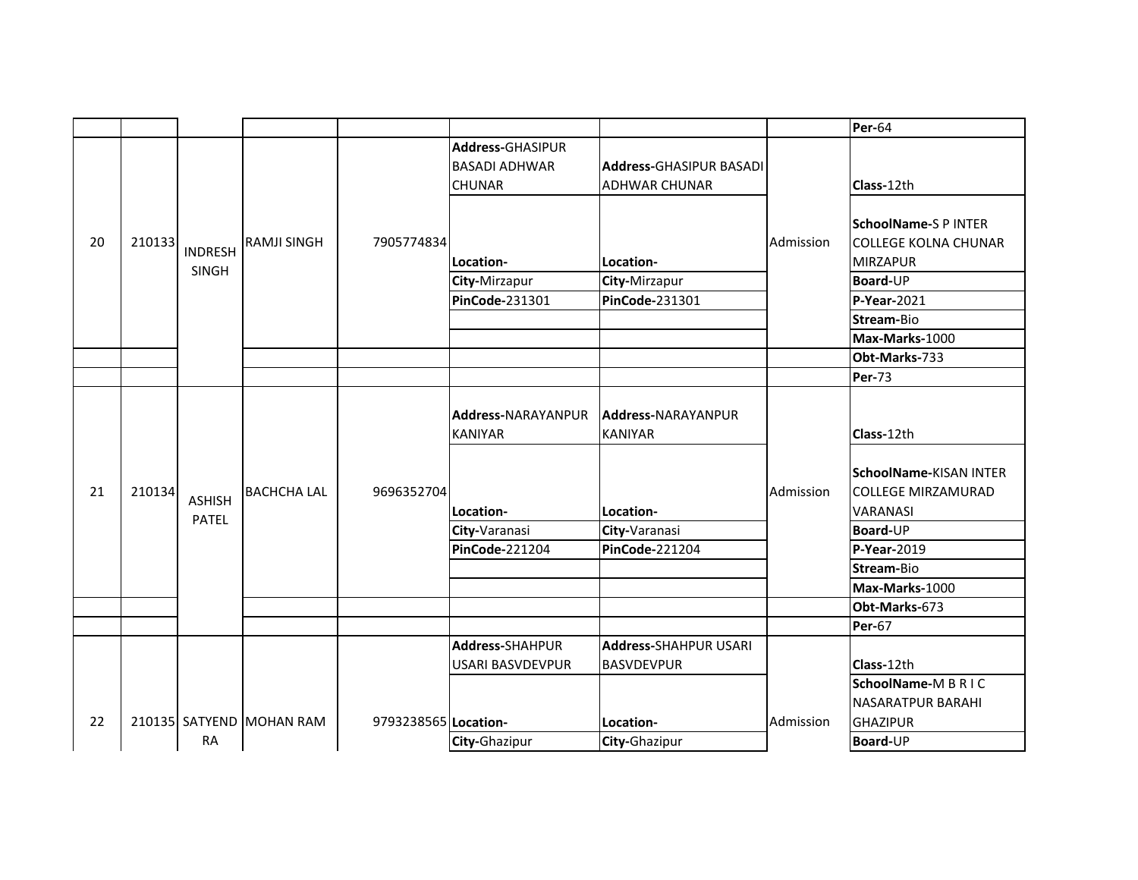|    |        |                |                          |                      |                         |                                |           | <b>Per-64</b>                                                                                                                                                                                                                                                                                                                                                                                                                                                                  |
|----|--------|----------------|--------------------------|----------------------|-------------------------|--------------------------------|-----------|--------------------------------------------------------------------------------------------------------------------------------------------------------------------------------------------------------------------------------------------------------------------------------------------------------------------------------------------------------------------------------------------------------------------------------------------------------------------------------|
|    |        |                |                          |                      | Address-GHASIPUR        |                                |           |                                                                                                                                                                                                                                                                                                                                                                                                                                                                                |
|    |        |                |                          |                      | <b>BASADI ADHWAR</b>    | <b>Address-GHASIPUR BASADI</b> |           |                                                                                                                                                                                                                                                                                                                                                                                                                                                                                |
|    |        |                |                          |                      | <b>CHUNAR</b>           | <b>ADHWAR CHUNAR</b>           |           | Class-12th<br><b>SchoolName-S P INTER</b><br><b>COLLEGE KOLNA CHUNAR</b><br><b>MIRZAPUR</b><br><b>Board-UP</b><br>$P-Year-2021$<br>Stream-Bio<br>Max-Marks-1000<br>Obt-Marks-733<br><b>Per-73</b><br>Class-12th<br>SchoolName-KISAN INTER<br><b>COLLEGE MIRZAMURAD</b><br><b>VARANASI</b><br><b>Board-UP</b><br>P-Year-2019<br>Stream-Bio<br>Max-Marks-1000<br>Obt-Marks-673<br><b>Per-67</b><br>Class-12th<br>SchoolName-MBRIC<br><b>NASARATPUR BARAHI</b><br><b>GHAZIPUR</b> |
|    |        |                |                          |                      |                         |                                |           |                                                                                                                                                                                                                                                                                                                                                                                                                                                                                |
|    |        |                |                          |                      |                         |                                |           |                                                                                                                                                                                                                                                                                                                                                                                                                                                                                |
| 20 | 210133 | <b>INDRESH</b> | <b>RAMJI SINGH</b>       | 7905774834           |                         |                                | Admission |                                                                                                                                                                                                                                                                                                                                                                                                                                                                                |
|    |        | SINGH          |                          |                      | Location-               | Location-                      |           |                                                                                                                                                                                                                                                                                                                                                                                                                                                                                |
|    |        |                |                          |                      | City-Mirzapur           | City-Mirzapur                  |           |                                                                                                                                                                                                                                                                                                                                                                                                                                                                                |
|    |        |                |                          |                      | PinCode-231301          | PinCode-231301                 |           |                                                                                                                                                                                                                                                                                                                                                                                                                                                                                |
|    |        |                |                          |                      |                         |                                |           |                                                                                                                                                                                                                                                                                                                                                                                                                                                                                |
|    |        |                |                          |                      |                         |                                |           |                                                                                                                                                                                                                                                                                                                                                                                                                                                                                |
|    |        |                |                          |                      |                         |                                |           |                                                                                                                                                                                                                                                                                                                                                                                                                                                                                |
|    |        |                |                          |                      |                         |                                |           |                                                                                                                                                                                                                                                                                                                                                                                                                                                                                |
|    |        |                |                          |                      |                         |                                |           |                                                                                                                                                                                                                                                                                                                                                                                                                                                                                |
|    |        |                |                          |                      | Address-NARAYANPUR      | Address-NARAYANPUR             |           |                                                                                                                                                                                                                                                                                                                                                                                                                                                                                |
|    |        |                |                          |                      | <b>KANIYAR</b>          | <b>KANIYAR</b>                 |           |                                                                                                                                                                                                                                                                                                                                                                                                                                                                                |
|    |        |                |                          |                      |                         |                                |           |                                                                                                                                                                                                                                                                                                                                                                                                                                                                                |
|    |        |                |                          |                      |                         |                                |           |                                                                                                                                                                                                                                                                                                                                                                                                                                                                                |
| 21 | 210134 | <b>ASHISH</b>  | <b>BACHCHA LAL</b>       | 9696352704           |                         |                                | Admission |                                                                                                                                                                                                                                                                                                                                                                                                                                                                                |
|    |        | <b>PATEL</b>   |                          |                      | Location-               | Location-                      |           |                                                                                                                                                                                                                                                                                                                                                                                                                                                                                |
|    |        |                |                          |                      | City-Varanasi           | City-Varanasi                  |           |                                                                                                                                                                                                                                                                                                                                                                                                                                                                                |
|    |        |                |                          |                      | <b>PinCode-221204</b>   | PinCode-221204                 |           |                                                                                                                                                                                                                                                                                                                                                                                                                                                                                |
|    |        |                |                          |                      |                         |                                |           |                                                                                                                                                                                                                                                                                                                                                                                                                                                                                |
|    |        |                |                          |                      |                         |                                |           |                                                                                                                                                                                                                                                                                                                                                                                                                                                                                |
|    |        |                |                          |                      |                         |                                |           |                                                                                                                                                                                                                                                                                                                                                                                                                                                                                |
|    |        |                |                          |                      |                         |                                |           |                                                                                                                                                                                                                                                                                                                                                                                                                                                                                |
|    |        |                |                          |                      | <b>Address-SHAHPUR</b>  | <b>Address-SHAHPUR USARI</b>   |           |                                                                                                                                                                                                                                                                                                                                                                                                                                                                                |
|    |        |                |                          |                      | <b>USARI BASVDEVPUR</b> | <b>BASVDEVPUR</b>              |           |                                                                                                                                                                                                                                                                                                                                                                                                                                                                                |
|    |        |                |                          |                      |                         |                                |           |                                                                                                                                                                                                                                                                                                                                                                                                                                                                                |
|    |        |                |                          |                      |                         |                                |           |                                                                                                                                                                                                                                                                                                                                                                                                                                                                                |
| 22 |        |                | 210135 SATYEND MOHAN RAM | 9793238565 Location- |                         | Location-                      | Admission |                                                                                                                                                                                                                                                                                                                                                                                                                                                                                |
|    |        | <b>RA</b>      |                          |                      | City-Ghazipur           | City-Ghazipur                  |           | Board-UP                                                                                                                                                                                                                                                                                                                                                                                                                                                                       |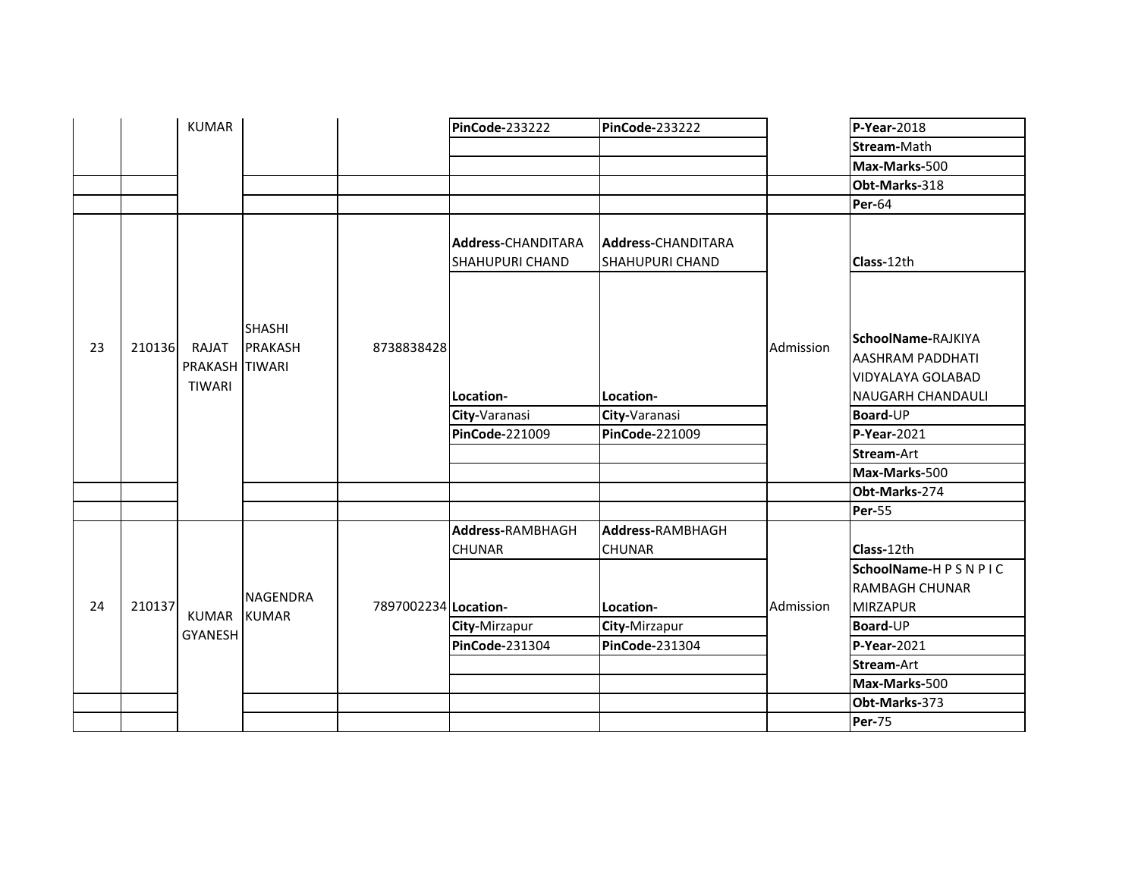|    |        | <b>KUMAR</b>                      |                                 |                      | <b>PinCode-233222</b>                               | <b>PinCode-233222</b>                               |           | P-Year-2018                                                                                    |
|----|--------|-----------------------------------|---------------------------------|----------------------|-----------------------------------------------------|-----------------------------------------------------|-----------|------------------------------------------------------------------------------------------------|
|    |        |                                   |                                 |                      |                                                     |                                                     |           | Stream-Math                                                                                    |
|    |        |                                   |                                 |                      |                                                     |                                                     |           | Max-Marks-500                                                                                  |
|    |        |                                   |                                 |                      |                                                     |                                                     |           | Obt-Marks-318                                                                                  |
|    |        |                                   |                                 |                      |                                                     |                                                     |           | <b>Per-64</b>                                                                                  |
|    |        |                                   |                                 |                      | <b>Address-CHANDITARA</b><br><b>SHAHUPURI CHAND</b> | <b>Address-CHANDITARA</b><br><b>SHAHUPURI CHAND</b> |           | Class-12th                                                                                     |
| 23 | 210136 | RAJAT<br>PRAKASH TIWARI<br>TIWARI | <b>SHASHI</b><br><b>PRAKASH</b> | 8738838428           | Location-                                           | Location-                                           | Admission | SchoolName-RAJKIYA<br><b>AASHRAM PADDHATI</b><br>VIDYALAYA GOLABAD<br><b>NAUGARH CHANDAULI</b> |
|    |        |                                   |                                 |                      | City-Varanasi                                       | City-Varanasi                                       |           | Board-UP                                                                                       |
|    |        |                                   |                                 |                      | PinCode-221009                                      | <b>PinCode-221009</b>                               |           | P-Year-2021                                                                                    |
|    |        |                                   |                                 |                      |                                                     |                                                     |           | <b>Stream-Art</b>                                                                              |
|    |        |                                   |                                 |                      |                                                     |                                                     |           | Max-Marks-500                                                                                  |
|    |        |                                   |                                 |                      |                                                     |                                                     |           | Obt-Marks-274                                                                                  |
|    |        |                                   |                                 |                      |                                                     |                                                     |           | <b>Per-55</b>                                                                                  |
|    |        |                                   |                                 |                      | Address-RAMBHAGH<br><b>CHUNAR</b>                   | Address-RAMBHAGH<br><b>CHUNAR</b>                   |           | Class-12th                                                                                     |
| 24 | 210137 | <b>KUMAR</b>                      | <b>NAGENDRA</b><br><b>KUMAR</b> | 7897002234 Location- |                                                     | Location-                                           | Admission | SchoolName-HPSNPIC<br><b>RAMBAGH CHUNAR</b><br><b>MIRZAPUR</b>                                 |
|    |        |                                   |                                 |                      | City-Mirzapur                                       | City-Mirzapur                                       |           | Board-UP                                                                                       |
|    |        | <b>GYANESH</b>                    |                                 |                      | PinCode-231304                                      | PinCode-231304                                      |           | $P-Year-2021$                                                                                  |
|    |        |                                   |                                 |                      |                                                     |                                                     |           | Stream-Art                                                                                     |
|    |        |                                   |                                 |                      |                                                     |                                                     |           | Max-Marks-500                                                                                  |
|    |        |                                   |                                 |                      |                                                     |                                                     |           | Obt-Marks-373                                                                                  |
|    |        |                                   |                                 |                      |                                                     |                                                     |           | <b>Per-75</b>                                                                                  |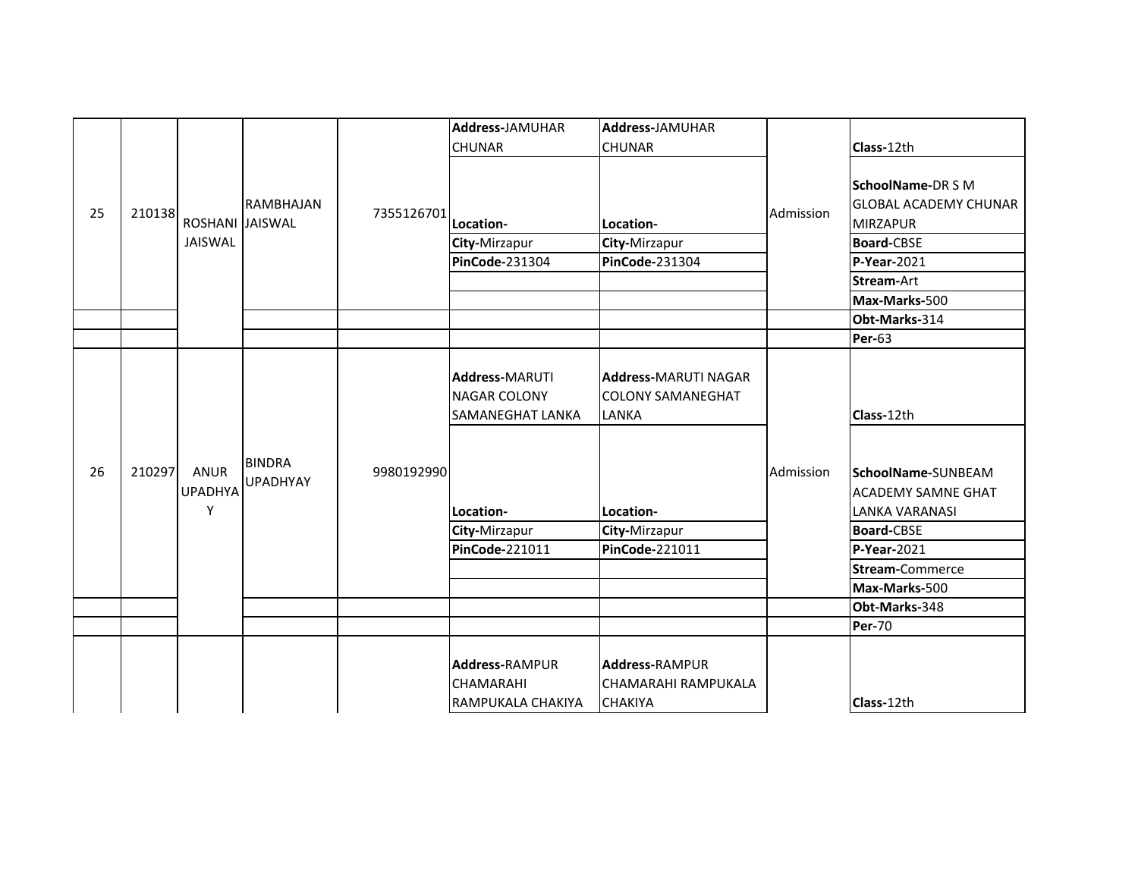|    |        |                                    |                                  |            | Address-JAMUHAR<br><b>CHUNAR</b>                                 | Address-JAMUHAR<br><b>CHUNAR</b>                                 |           | Class-12th                                                                                                                         |
|----|--------|------------------------------------|----------------------------------|------------|------------------------------------------------------------------|------------------------------------------------------------------|-----------|------------------------------------------------------------------------------------------------------------------------------------|
| 25 | 210138 | ROSHANI JAISWAL<br><b>JAISWAL</b>  | RAMBHAJAN                        | 7355126701 | Location-<br>City-Mirzapur<br><b>PinCode-231304</b>              | Location-<br>City-Mirzapur<br><b>PinCode-231304</b>              | Admission | <b>SchoolName-DRSM</b><br><b>GLOBAL ACADEMY CHUNAR</b><br><b>MIRZAPUR</b><br><b>Board-CBSE</b><br><b>P-Year-2021</b><br>Stream-Art |
|    |        |                                    |                                  |            |                                                                  |                                                                  |           | Max-Marks-500                                                                                                                      |
|    |        |                                    |                                  |            |                                                                  |                                                                  |           | Obt-Marks-314                                                                                                                      |
|    |        |                                    |                                  |            |                                                                  |                                                                  |           | <b>Per-63</b>                                                                                                                      |
|    |        |                                    |                                  |            | <b>Address-MARUTI</b><br><b>NAGAR COLONY</b><br>SAMANEGHAT LANKA | <b>Address-MARUTI NAGAR</b><br><b>COLONY SAMANEGHAT</b><br>LANKA |           | Class-12th                                                                                                                         |
| 26 | 210297 | <b>ANUR</b><br><b>UPADHYA</b><br>Y | <b>BINDRA</b><br><b>UPADHYAY</b> | 9980192990 | Location-                                                        | Location-                                                        | Admission | SchoolName-SUNBEAM<br><b>ACADEMY SAMNE GHAT</b><br><b>LANKA VARANASI</b>                                                           |
|    |        |                                    |                                  |            | City-Mirzapur                                                    | City-Mirzapur                                                    |           | <b>Board-CBSE</b>                                                                                                                  |
|    |        |                                    |                                  |            | PinCode-221011                                                   | PinCode-221011                                                   |           | P-Year-2021                                                                                                                        |
|    |        |                                    |                                  |            |                                                                  |                                                                  |           | Stream-Commerce                                                                                                                    |
|    |        |                                    |                                  |            |                                                                  |                                                                  |           | Max-Marks-500                                                                                                                      |
|    |        |                                    |                                  |            |                                                                  |                                                                  |           | Obt-Marks-348                                                                                                                      |
|    |        |                                    |                                  |            |                                                                  |                                                                  |           | Per-70                                                                                                                             |
|    |        |                                    |                                  |            | <b>Address-RAMPUR</b><br><b>CHAMARAHI</b><br>RAMPUKALA CHAKIYA   | <b>Address-RAMPUR</b><br>CHAMARAHI RAMPUKALA<br><b>CHAKIYA</b>   |           | Class-12th                                                                                                                         |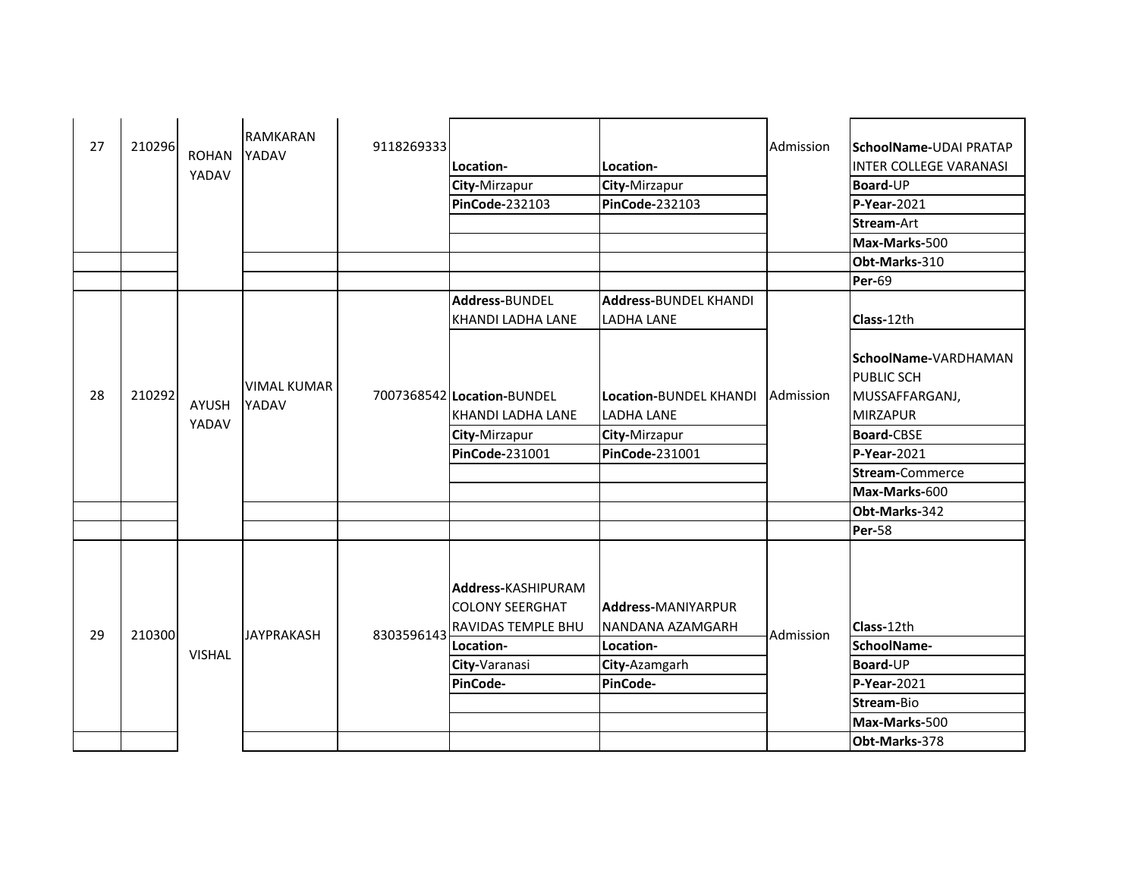| 27 | 210296 | <b>ROHAN</b><br>YADAV | <b>RAMKARAN</b><br>YADAV    | 9118269333 | Location-<br>City-Mirzapur<br>PinCode-232103                                                                 | Location-<br>City-Mirzapur<br>PinCode-232103                                     | Admission | <b>SchoolName-UDAI PRATAP</b><br><b>INTER COLLEGE VARANASI</b><br>Board-UP<br>P-Year-2021<br>Stream-Art<br>Max-Marks-500                                      |
|----|--------|-----------------------|-----------------------------|------------|--------------------------------------------------------------------------------------------------------------|----------------------------------------------------------------------------------|-----------|---------------------------------------------------------------------------------------------------------------------------------------------------------------|
|    |        |                       |                             |            |                                                                                                              |                                                                                  |           | Obt-Marks-310                                                                                                                                                 |
|    |        |                       |                             |            |                                                                                                              |                                                                                  |           | <b>Per-69</b>                                                                                                                                                 |
|    |        |                       |                             |            | Address-BUNDEL                                                                                               | <b>Address-BUNDEL KHANDI</b>                                                     |           |                                                                                                                                                               |
|    |        |                       |                             |            | KHANDI LADHA LANE                                                                                            | <b>LADHA LANE</b>                                                                |           | Class-12th                                                                                                                                                    |
| 28 | 210292 | AYUSH<br>YADAV        | <b>VIMAL KUMAR</b><br>YADAV |            | 7007368542 Location-BUNDEL<br>KHANDI LADHA LANE<br>City-Mirzapur<br><b>PinCode-231001</b>                    | Location-BUNDEL KHANDI<br><b>LADHA LANE</b><br>City-Mirzapur<br>PinCode-231001   | Admission | SchoolName-VARDHAMAN<br><b>PUBLIC SCH</b><br>MUSSAFFARGANJ,<br><b>MIRZAPUR</b><br><b>Board-CBSE</b><br>P-Year-2021<br><b>Stream-Commerce</b><br>Max-Marks-600 |
|    |        |                       |                             |            |                                                                                                              |                                                                                  |           | Obt-Marks-342                                                                                                                                                 |
|    |        |                       |                             |            |                                                                                                              |                                                                                  |           | <b>Per-58</b>                                                                                                                                                 |
| 29 | 210300 | <b>VISHAL</b>         | <b>JAYPRAKASH</b>           | 8303596143 | Address-KASHIPURAM<br><b>COLONY SEERGHAT</b><br>RAVIDAS TEMPLE BHU<br>Location-<br>City-Varanasi<br>PinCode- | Address-MANIYARPUR<br>NANDANA AZAMGARH<br>Location-<br>City-Azamgarh<br>PinCode- | Admission | Class-12th<br>SchoolName-<br>Board-UP<br>P-Year-2021<br>Stream-Bio<br>Max-Marks-500                                                                           |
|    |        |                       |                             |            |                                                                                                              |                                                                                  |           | Obt-Marks-378                                                                                                                                                 |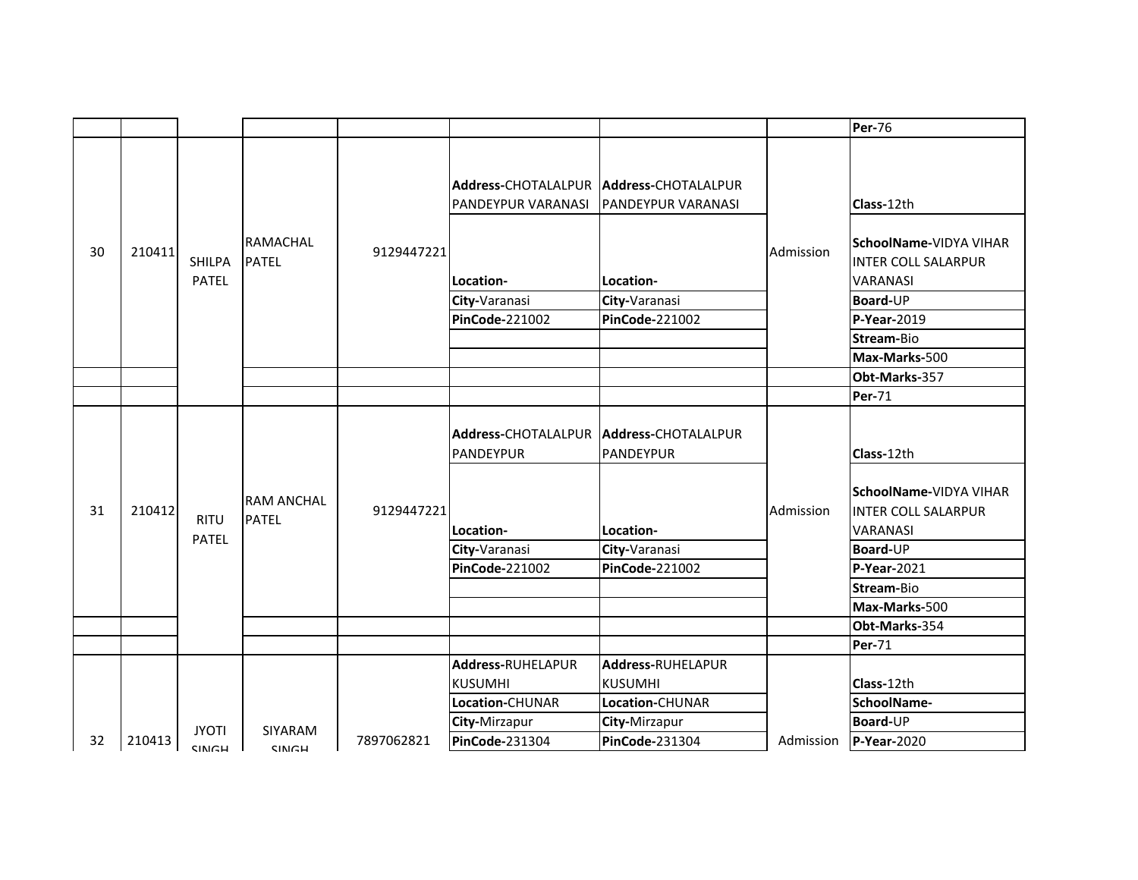|    |        |                               |                                   |            |                                                                                                                 |                                                                           |           | Per-76                                                                                                                         |
|----|--------|-------------------------------|-----------------------------------|------------|-----------------------------------------------------------------------------------------------------------------|---------------------------------------------------------------------------|-----------|--------------------------------------------------------------------------------------------------------------------------------|
| 30 | 210411 | <b>SHILPA</b><br><b>PATEL</b> | <b>RAMACHAL</b><br><b>PATEL</b>   | 9129447221 | Address-CHOTALALPUR   Address-CHOTALALPUR<br>PANDEYPUR VARANASI<br>Location-<br>City-Varanasi<br>PinCode-221002 | PANDEYPUR VARANASI<br>Location-<br>City-Varanasi<br><b>PinCode-221002</b> | Admission | Class-12th<br>SchoolName-VIDYA VIHAR<br><b>INTER COLL SALARPUR</b><br><b>VARANASI</b><br>Board-UP<br>P-Year-2019<br>Stream-Bio |
|    |        |                               |                                   |            |                                                                                                                 |                                                                           |           | Max-Marks-500                                                                                                                  |
|    |        |                               |                                   |            |                                                                                                                 |                                                                           |           | Obt-Marks-357                                                                                                                  |
|    |        |                               |                                   |            |                                                                                                                 |                                                                           |           | <b>Per-71</b>                                                                                                                  |
|    |        |                               |                                   |            | Address-CHOTALALPUR   Address-CHOTALALPUR<br>PANDEYPUR                                                          | PANDEYPUR                                                                 |           | Class-12th                                                                                                                     |
| 31 | 210412 | <b>RITU</b>                   | <b>RAM ANCHAL</b><br><b>PATEL</b> | 9129447221 | Location-                                                                                                       | Location-                                                                 | Admission | SchoolName-VIDYA VIHAR<br><b>INTER COLL SALARPUR</b><br><b>VARANASI</b>                                                        |
|    |        | <b>PATEL</b>                  |                                   |            | City-Varanasi                                                                                                   | City-Varanasi                                                             |           | Board-UP                                                                                                                       |
|    |        |                               |                                   |            | <b>PinCode-221002</b>                                                                                           | <b>PinCode-221002</b>                                                     |           | P-Year-2021                                                                                                                    |
|    |        |                               |                                   |            |                                                                                                                 |                                                                           |           | Stream-Bio                                                                                                                     |
|    |        |                               |                                   |            |                                                                                                                 |                                                                           |           | Max-Marks-500                                                                                                                  |
|    |        |                               |                                   |            |                                                                                                                 |                                                                           |           | Obt-Marks-354                                                                                                                  |
|    |        |                               |                                   |            |                                                                                                                 |                                                                           |           | <b>Per-71</b>                                                                                                                  |
|    |        |                               |                                   |            | Address-RUHELAPUR<br><b>KUSUMHI</b>                                                                             | Address-RUHELAPUR<br><b>KUSUMHI</b>                                       |           | Class-12th                                                                                                                     |
|    |        |                               |                                   |            | Location-CHUNAR                                                                                                 | Location-CHUNAR                                                           |           | SchoolName-                                                                                                                    |
|    |        | JYOTI                         | SIYARAM                           |            | City-Mirzapur                                                                                                   | City-Mirzapur                                                             |           | Board-UP                                                                                                                       |
| 32 | 210413 | <b>CINIGH</b>                 | <b>CINIGH</b>                     | 7897062821 | PinCode-231304                                                                                                  | <b>PinCode-231304</b>                                                     | Admission | P-Year-2020                                                                                                                    |